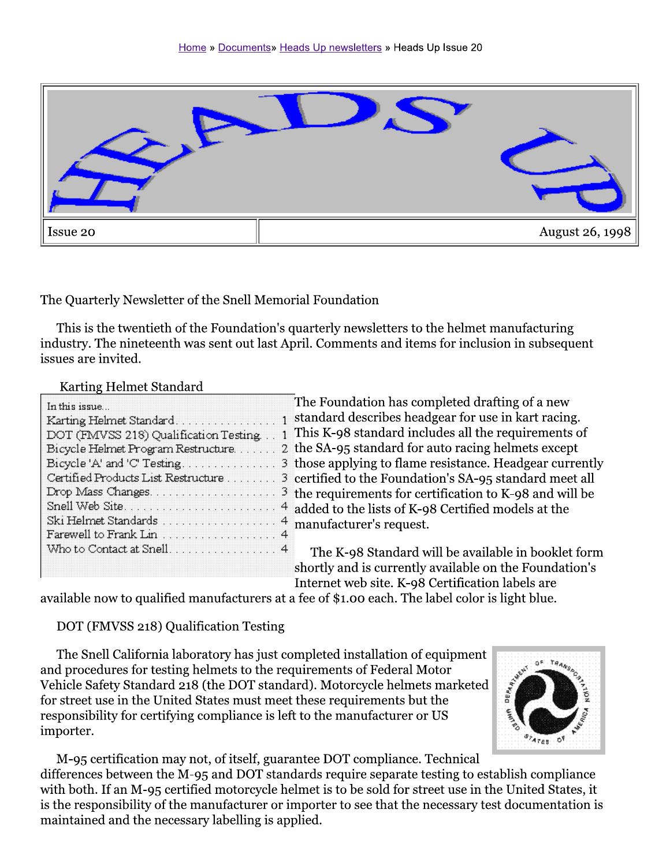

The Quarterly Newsletter of the Snell Memorial Foundation

This is the twentieth of the Foundation's quarterly newsletters to the helmet manufacturing industry. The nineteenth was sent out last April. Comments and items for inclusion in subsequent issues are invited.

#### Karting Helmet Standard

| In this issue                           |  |
|-----------------------------------------|--|
|                                         |  |
| DOT (FMVSS 218) Qualification Testing 1 |  |
| Bicycle Helmet Program Restructure 2    |  |
|                                         |  |
| Certified Products List Restructure 3   |  |
|                                         |  |
|                                         |  |
| Ski Helmet Standards  4                 |  |
| Farewell to Frank Lin 4                 |  |
| Who to Contact at Snell 4               |  |
|                                         |  |

The Foundation has completed drafting of a new standard describes headgear for use in kart racing. This K-98 standard includes all the requirements of the SA-95 standard for auto racing helmets except those applying to flame resistance. Headgear currently certified to the Foundation's SA-95 standard meet all the requirements for certification to K-98 and will be added to the lists of K-98 Certified models at the manufacturer's request.

The K-98 Standard will be available in booklet form shortly and is currently available on the Foundation's Internet web site. K-98 Certification labels are

available now to qualified manufacturers at a fee of \$1.00 each. The label color is light blue.

# DOT (FMVSS 218) Qualification Testing

The Snell California laboratory has just completed installation of equipment and procedures for testing helmets to the requirements of Federal Motor Vehicle Safety Standard 218 (the DOT standard). Motorcycle helmets marketed for street use in the United States must meet these requirements but the responsibility for certifying compliance is left to the manufacturer or US importer.



M-95 certification may not, of itself, guarantee DOT compliance. Technical differences between the M-95 and DOT standards require separate testing to establish compliance with both. If an M-95 certified motorcycle helmet is to be sold for street use in the United States, it is the responsibility of the manufacturer or importer to see that the necessary test documentation is maintained and the necessary labelling is applied.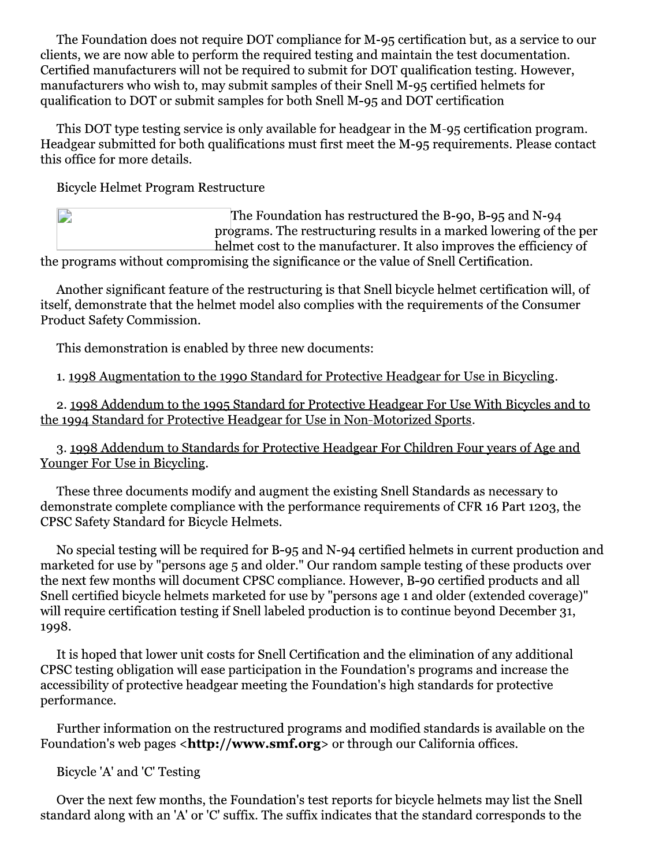The Foundation does not require DOT compliance for M-95 certification but, as a service to our clients, we are now able to perform the required testing and maintain the test documentation. Certified manufacturers will not be required to submit for DOT qualification testing. However, manufacturers who wish to, may submit samples of their Snell M-95 certified helmets for qualification to DOT or submit samples for both Snell M-95 and DOT certification

This DOT type testing service is only available for headgear in the M-95 certification program. Headgear submitted for both qualifications must first meet the M-95 requirements. Please contact this office for more details.

**Bicycle Helmet Program Restructure** 

| D. | The Foundation has restructured the B-90, B-95 and N-94             |
|----|---------------------------------------------------------------------|
|    | programs. The restructuring results in a marked lowering of the per |
|    | helmet cost to the manufacturer. It also improves the efficiency of |
|    |                                                                     |

the programs without compromising the significance or the value of Snell Certification.

Another significant feature of the restructuring is that Snell bicycle helmet certification will, of itself, demonstrate that the helmet model also complies with the requirements of the Consumer **Product Safety Commission.** 

This demonstration is enabled by three new documents:

1. 1998 Augmentation to the 1990 Standard for Protective Headgear for Use in Bicycling.

2. 1998 Addendum to the 1995 Standard for Protective Headgear For Use With Bicycles and to the 1994 Standard for Protective Headgear for Use in Non-Motorized Sports.

3. 1998 Addendum to Standards for Protective Headgear For Children Four years of Age and Younger For Use in Bicycling.

These three documents modify and augment the existing Snell Standards as necessary to demonstrate complete compliance with the performance requirements of CFR 16 Part 1203, the CPSC Safety Standard for Bicycle Helmets.

No special testing will be required for B-95 and N-94 certified helmets in current production and marketed for use by "persons age 5 and older." Our random sample testing of these products over the next few months will document CPSC compliance. However, B-90 certified products and all Snell certified bicycle helmets marketed for use by "persons age 1 and older (extended coverage)" will require certification testing if Snell labeled production is to continue beyond December 31, 1998.

It is hoped that lower unit costs for Snell Certification and the elimination of any additional CPSC testing obligation will ease participation in the Foundation's programs and increase the accessibility of protective headgear meeting the Foundation's high standards for protective performance.

Further information on the restructured programs and modified standards is available on the Foundation's web pages <http://www.smf.org> or through our California offices.

Bicycle 'A' and 'C' Testing

Over the next few months, the Foundation's test reports for bicycle helmets may list the Snell standard along with an 'A' or 'C' suffix. The suffix indicates that the standard corresponds to the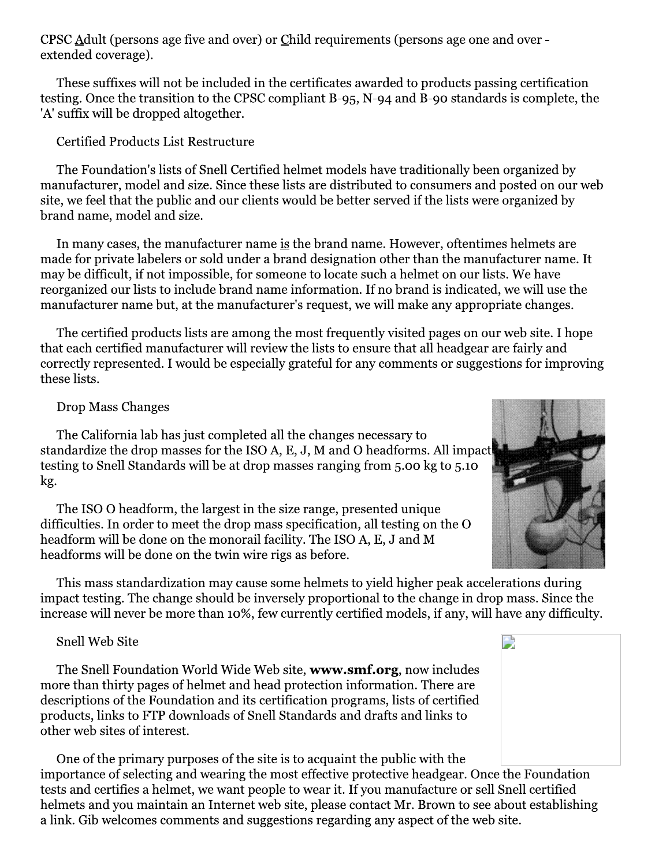CPSC Adult (persons age five and over) or Child requirements (persons age one and over extended coverage).

These suffixes will not be included in the certificates awarded to products passing certification testing. Once the transition to the CPSC compliant B-95, N-94 and B-90 standards is complete, the 'A' suffix will be dropped altogether.

Certified Products List Restructure

The Foundation's lists of Snell Certified helmet models have traditionally been organized by manufacturer, model and size. Since these lists are distributed to consumers and posted on our web site, we feel that the public and our clients would be better served if the lists were organized by brand name, model and size.

In many cases, the manufacturer name is the brand name. However, oftentimes helmets are made for private labelers or sold under a brand designation other than the manufacturer name. It may be difficult, if not impossible, for someone to locate such a helmet on our lists. We have reorganized our lists to include brand name information. If no brand is indicated, we will use the manufacturer name but, at the manufacturer's request, we will make any appropriate changes.

The certified products lists are among the most frequently visited pages on our web site. I hope that each certified manufacturer will review the lists to ensure that all headgear are fairly and correctly represented. I would be especially grateful for any comments or suggestions for improving these lists.

## **Drop Mass Changes**

The California lab has just completed all the changes necessary to standardize the drop masses for the ISO A, E, J, M and O headforms. All impact testing to Snell Standards will be at drop masses ranging from 5.00 kg to 5.10 kg.

The ISO O headform, the largest in the size range, presented unique difficulties. In order to meet the drop mass specification, all testing on the O headform will be done on the monorail facility. The ISO A, E, J and M headforms will be done on the twin wire rigs as before.

This mass standardization may cause some helmets to yield higher peak accelerations during impact testing. The change should be inversely proportional to the change in drop mass. Since the increase will never be more than 10%, few currently certified models, if any, will have any difficulty.

#### **Snell Web Site**

The Snell Foundation World Wide Web site, www.smf.org, now includes more than thirty pages of helmet and head protection information. There are descriptions of the Foundation and its certification programs, lists of certified products, links to FTP downloads of Snell Standards and drafts and links to other web sites of interest.

One of the primary purposes of the site is to acquaint the public with the importance of selecting and wearing the most effective protective headgear. Once the Foundation tests and certifies a helmet, we want people to wear it. If you manufacture or sell Snell certified helmets and you maintain an Internet web site, please contact Mr. Brown to see about establishing a link. Gib welcomes comments and suggestions regarding any aspect of the web site.